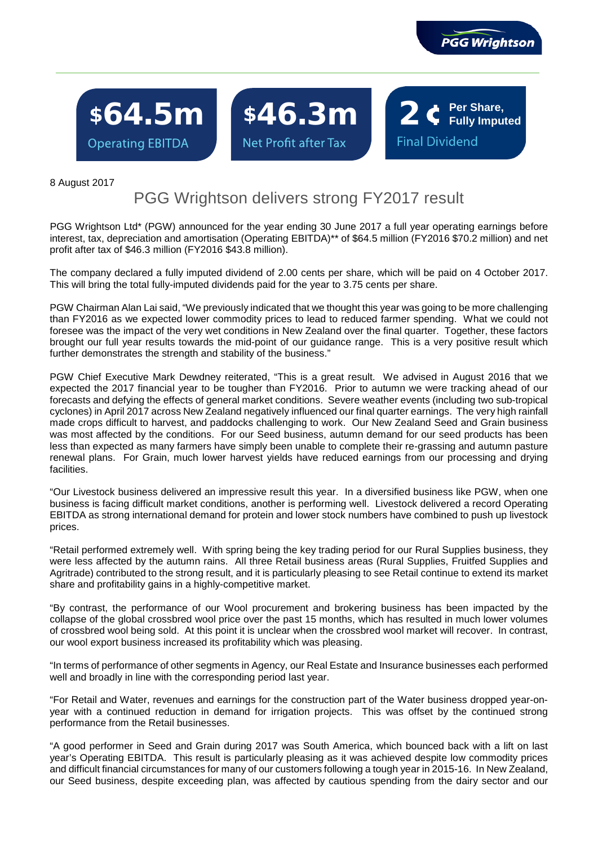

**Fully Imputed**

**Final Dividend** 

\$64.5m \$46.3m 2 **c** Per Share, **Operating EBITDA** 

ľ

Net Profit after Tax

8 August 2017

# PGG Wrightson delivers strong FY2017 result

PGG Wrightson Ltd\* (PGW) announced for the year ending 30 June 2017 a full year operating earnings before interest, tax, depreciation and amortisation (Operating EBITDA)\*\* of \$64.5 million (FY2016 \$70.2 million) and net profit after tax of \$46.3 million (FY2016 \$43.8 million).

The company declared a fully imputed dividend of 2.00 cents per share, which will be paid on 4 October 2017. This will bring the total fully-imputed dividends paid for the year to 3.75 cents per share.

PGW Chairman Alan Lai said, "We previously indicated that we thought this year was going to be more challenging than FY2016 as we expected lower commodity prices to lead to reduced farmer spending. What we could not foresee was the impact of the very wet conditions in New Zealand over the final quarter. Together, these factors brought our full year results towards the mid-point of our guidance range. This is a very positive result which further demonstrates the strength and stability of the business."

PGW Chief Executive Mark Dewdney reiterated, "This is a great result. We advised in August 2016 that we expected the 2017 financial year to be tougher than FY2016. Prior to autumn we were tracking ahead of our forecasts and defying the effects of general market conditions. Severe weather events (including two sub-tropical cyclones) in April 2017 across New Zealand negatively influenced our final quarter earnings. The very high rainfall made crops difficult to harvest, and paddocks challenging to work. Our New Zealand Seed and Grain business was most affected by the conditions. For our Seed business, autumn demand for our seed products has been less than expected as many farmers have simply been unable to complete their re-grassing and autumn pasture renewal plans. For Grain, much lower harvest yields have reduced earnings from our processing and drying facilities.

"Our Livestock business delivered an impressive result this year. In a diversified business like PGW, when one business is facing difficult market conditions, another is performing well. Livestock delivered a record Operating EBITDA as strong international demand for protein and lower stock numbers have combined to push up livestock prices.

"Retail performed extremely well. With spring being the key trading period for our Rural Supplies business, they were less affected by the autumn rains. All three Retail business areas (Rural Supplies, Fruitfed Supplies and Agritrade) contributed to the strong result, and it is particularly pleasing to see Retail continue to extend its market share and profitability gains in a highly-competitive market.

"By contrast, the performance of our Wool procurement and brokering business has been impacted by the collapse of the global crossbred wool price over the past 15 months, which has resulted in much lower volumes of crossbred wool being sold. At this point it is unclear when the crossbred wool market will recover. In contrast, our wool export business increased its profitability which was pleasing.

"In terms of performance of other segments in Agency, our Real Estate and Insurance businesses each performed well and broadly in line with the corresponding period last year.

"For Retail and Water, revenues and earnings for the construction part of the Water business dropped year-onyear with a continued reduction in demand for irrigation projects. This was offset by the continued strong performance from the Retail businesses.

"A good performer in Seed and Grain during 2017 was South America, which bounced back with a lift on last year's Operating EBITDA. This result is particularly pleasing as it was achieved despite low commodity prices and difficult financial circumstances for many of our customers following a tough year in 2015-16. In New Zealand, our Seed business, despite exceeding plan, was affected by cautious spending from the dairy sector and our